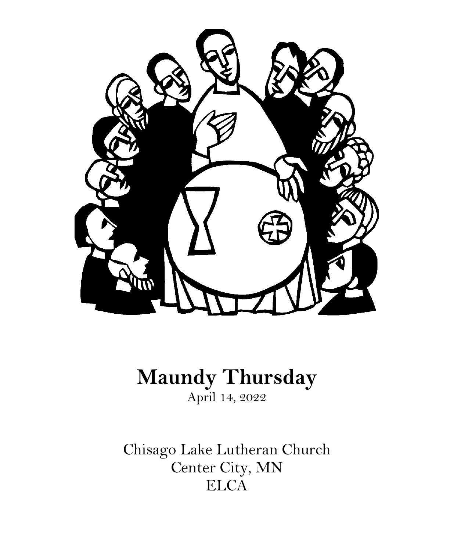

# **Maundy Thursday** April 14, 2022

Chisago Lake Lutheran Church Center City, MN ELCA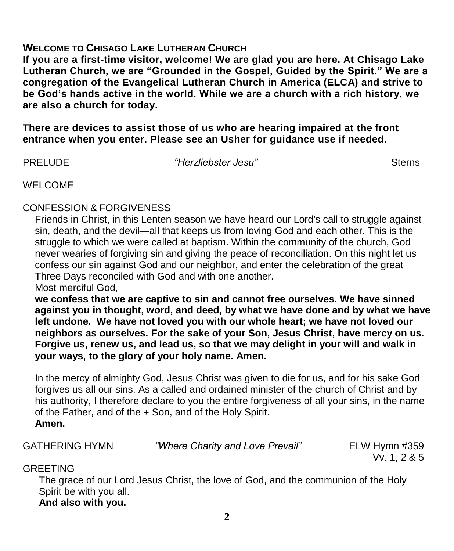# **WELCOME TO CHISAGO LAKE LUTHERAN CHURCH**

**If you are a first-time visitor, welcome! We are glad you are here. At Chisago Lake Lutheran Church, we are "Grounded in the Gospel, Guided by the Spirit." We are a congregation of the Evangelical Lutheran Church in America (ELCA) and strive to be God's hands active in the world. While we are a church with a rich history, we are also a church for today.**

**There are devices to assist those of us who are hearing impaired at the front entrance when you enter. Please see an Usher for guidance use if needed.** 

PRELUDE *"Herzliebster Jesu"* Sterns

WELCOME

# CONFESSION & FORGIVENESS

Friends in Christ, in this Lenten season we have heard our Lord's call to struggle against sin, death, and the devil—all that keeps us from loving God and each other. This is the struggle to which we were called at baptism. Within the community of the church, God never wearies of forgiving sin and giving the peace of reconciliation. On this night let us confess our sin against God and our neighbor, and enter the celebration of the great Three Days reconciled with God and with one another.

Most merciful God,

**we confess that we are captive to sin and cannot free ourselves. We have sinned against you in thought, word, and deed, by what we have done and by what we have left undone. We have not loved you with our whole heart; we have not loved our neighbors as ourselves. For the sake of your Son, Jesus Christ, have mercy on us. Forgive us, renew us, and lead us, so that we may delight in your will and walk in your ways, to the glory of your holy name. Amen.**

In the mercy of almighty God, Jesus Christ was given to die for us, and for his sake God forgives us all our sins. As a called and ordained minister of the church of Christ and by his authority, I therefore declare to you the entire forgiveness of all your sins, in the name of the Father, and of the + Son, and of the Holy Spirit. **Amen.**

GATHERING HYMN *"Where Charity and Love Prevail"* ELW Hymn #359

Vv. 1, 2 & 5

# **GREETING**

The grace of our Lord Jesus Christ, the love of God, and the communion of the Holy Spirit be with you all. **And also with you.**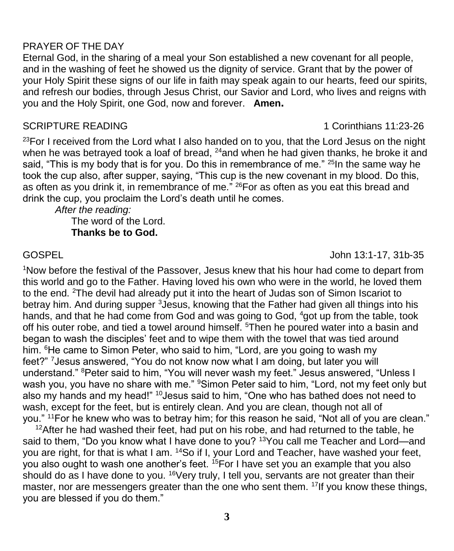# PRAYER OF THE DAY

Eternal God, in the sharing of a meal your Son established a new covenant for all people, and in the washing of feet he showed us the dignity of service. Grant that by the power of your Holy Spirit these signs of our life in faith may speak again to our hearts, feed our spirits, and refresh our bodies, through Jesus Christ, our Savior and Lord, who lives and reigns with you and the Holy Spirit, one God, now and forever. **Amen.**

#### SCRIPTURE READING1 Corinthians 11:23-26

 $23$ For I received from the Lord what I also handed on to you, that the Lord Jesus on the night when he was betrayed took a loaf of bread,  $^{24}$ and when he had given thanks, he broke it and said, "This is my body that is for you. Do this in remembrance of me." <sup>25</sup>In the same way he took the cup also, after supper, saying, "This cup is the new covenant in my blood. Do this, as often as you drink it, in remembrance of me." <sup>26</sup>For as often as you eat this bread and drink the cup, you proclaim the Lord's death until he comes.

*After the reading:* The word of the Lord. **Thanks be to God.**

#### GOSPEL John 13:1-17, 31b-35

<sup>1</sup>Now before the festival of the Passover, Jesus knew that his hour had come to depart from this world and go to the Father. Having loved his own who were in the world, he loved them to the end. <sup>2</sup>The devil had already put it into the heart of Judas son of Simon Iscariot to betray him. And during supper <sup>3</sup> Jesus, knowing that the Father had given all things into his hands, and that he had come from God and was going to God, <sup>4</sup>got up from the table, took off his outer robe, and tied a towel around himself. <sup>5</sup>Then he poured water into a basin and began to wash the disciples' feet and to wipe them with the towel that was tied around him. <sup>6</sup>He came to Simon Peter, who said to him, "Lord, are you going to wash my feet?" <sup>7</sup>Jesus answered, "You do not know now what I am doing, but later you will understand." <sup>8</sup>Peter said to him, "You will never wash my feet." Jesus answered, "Unless I wash you, you have no share with me." <sup>9</sup>Simon Peter said to him, "Lord, not my feet only but also my hands and my head!" <sup>10</sup>Jesus said to him, "One who has bathed does not need to wash, except for the feet, but is entirely clean. And you are clean, though not all of you." <sup>11</sup>For he knew who was to betray him; for this reason he said, "Not all of you are clean."

 $12$ After he had washed their feet, had put on his robe, and had returned to the table, he said to them, "Do you know what I have done to you? <sup>13</sup> You call me Teacher and Lord—and you are right, for that is what I am. <sup>14</sup>So if I, your Lord and Teacher, have washed your feet, you also ought to wash one another's feet. <sup>15</sup>For I have set you an example that you also should do as I have done to you. <sup>16</sup>Very truly, I tell you, servants are not greater than their master, nor are messengers greater than the one who sent them. <sup>17</sup>If you know these things, you are blessed if you do them."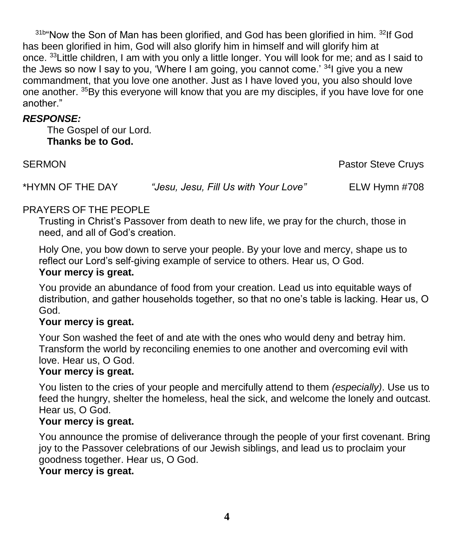31b"Now the Son of Man has been glorified, and God has been glorified in him. <sup>32</sup>If God has been glorified in him, God will also glorify him in himself and will glorify him at once. <sup>33</sup>Little children, I am with you only a little longer. You will look for me; and as I said to the Jews so now I say to you, 'Where I am going, you cannot come.'  $34$ I give you a new commandment, that you love one another. Just as I have loved you, you also should love one another. <sup>35</sup>By this everyone will know that you are my disciples, if you have love for one another."

# *RESPONSE:*

The Gospel of our Lord. **Thanks be to God.**

SERMON **Pastor Steve Cruys Pastor Steve Cruys Pastor Steve Cruys** 

\*HYMN OF THE DAY *"Jesu, Jesu, Fill Us with Your Love"* ELW Hymn #708

# PRAYERS OF THE PEOPLE

Trusting in Christ's Passover from death to new life, we pray for the church, those in need, and all of God's creation.

Holy One, you bow down to serve your people. By your love and mercy, shape us to reflect our Lord's self-giving example of service to others. Hear us, O God.

# **Your mercy is great.**

You provide an abundance of food from your creation. Lead us into equitable ways of distribution, and gather households together, so that no one's table is lacking. Hear us, O God.

# **Your mercy is great.**

Your Son washed the feet of and ate with the ones who would deny and betray him. Transform the world by reconciling enemies to one another and overcoming evil with love. Hear us, O God.

# **Your mercy is great.**

You listen to the cries of your people and mercifully attend to them *(especially)*. Use us to feed the hungry, shelter the homeless, heal the sick, and welcome the lonely and outcast. Hear us, O God.

#### **Your mercy is great.**

You announce the promise of deliverance through the people of your first covenant. Bring joy to the Passover celebrations of our Jewish siblings, and lead us to proclaim your goodness together. Hear us, O God.

# **Your mercy is great.**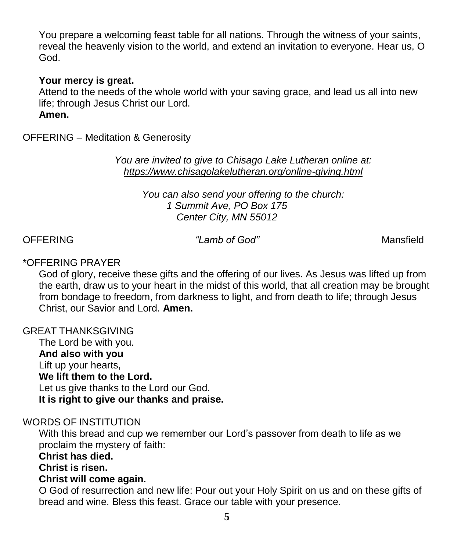You prepare a welcoming feast table for all nations. Through the witness of your saints, reveal the heavenly vision to the world, and extend an invitation to everyone. Hear us, O God.

#### **Your mercy is great.**

Attend to the needs of the whole world with your saving grace, and lead us all into new life; through Jesus Christ our Lord. **Amen.**

OFFERING – Meditation & Generosity

*You are invited to give to Chisago Lake Lutheran online at: <https://www.chisagolakelutheran.org/online-giving.html>*

> *You can also send your offering to the church: 1 Summit Ave, PO Box 175 Center City, MN 55012*

#### OFFERING *"Lamb of God"* Mansfield

#### \*OFFERING PRAYER

God of glory, receive these gifts and the offering of our lives. As Jesus was lifted up from the earth, draw us to your heart in the midst of this world, that all creation may be brought from bondage to freedom, from darkness to light, and from death to life; through Jesus Christ, our Savior and Lord. **Amen.**

#### GREAT THANKSGIVING

The Lord be with you. **And also with you** Lift up your hearts, **We lift them to the Lord.** Let us give thanks to the Lord our God. **It is right to give our thanks and praise.**

#### WORDS OF INSTITUTION

With this bread and cup we remember our Lord's passover from death to life as we proclaim the mystery of faith:

#### **Christ has died.**

**Christ is risen.**

#### **Christ will come again.**

O God of resurrection and new life: Pour out your Holy Spirit on us and on these gifts of bread and wine. Bless this feast. Grace our table with your presence.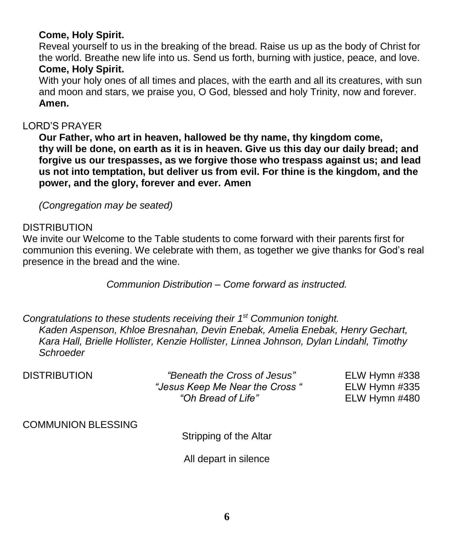# **Come, Holy Spirit.**

Reveal yourself to us in the breaking of the bread. Raise us up as the body of Christ for the world. Breathe new life into us. Send us forth, burning with justice, peace, and love. **Come, Holy Spirit.**

With your holy ones of all times and places, with the earth and all its creatures, with sun and moon and stars, we praise you, O God, blessed and holy Trinity, now and forever. **Amen.**

### LORD'S PRAYER

**Our Father, who art in heaven, hallowed be thy name, thy kingdom come, thy will be done, on earth as it is in heaven. Give us this day our daily bread; and forgive us our trespasses, as we forgive those who trespass against us; and lead us not into temptation, but deliver us from evil. For thine is the kingdom, and the power, and the glory, forever and ever. Amen**

*(Congregation may be seated)*

### DISTRIBUTION

We invite our Welcome to the Table students to come forward with their parents first for communion this evening. We celebrate with them, as together we give thanks for God's real presence in the bread and the wine.

*Communion Distribution – Come forward as instructed.*

*Congratulations to these students receiving their 1st Communion tonight. Kaden Aspenson, Khloe Bresnahan, Devin Enebak, Amelia Enebak, Henry Gechart, Kara Hall, Brielle Hollister, Kenzie Hollister, Linnea Johnson, Dylan Lindahl, Timothy Schroeder*

| <b>DISTRIBUTION</b> | "Beneath the Cross of Jesus"<br>"Jesus Keep Me Near the Cross"<br>"Oh Bread of Life" | ELW Hymn #338<br>ELW Hymn $\#335$<br>ELW Hymn #480 |
|---------------------|--------------------------------------------------------------------------------------|----------------------------------------------------|
|                     |                                                                                      |                                                    |

COMMUNION BLESSING

Stripping of the Altar

All depart in silence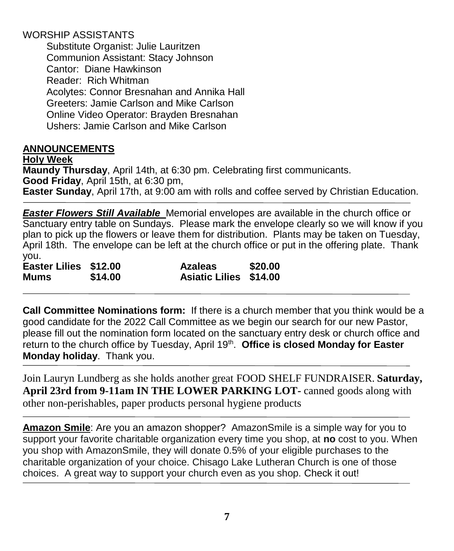# WORSHIP ASSISTANTS

Substitute Organist: Julie Lauritzen Communion Assistant: Stacy Johnson Cantor: Diane Hawkinson Reader: Rich Whitman Acolytes: Connor Bresnahan and Annika Hall Greeters: Jamie Carlson and Mike Carlson Online Video Operator: Brayden Bresnahan Ushers: Jamie Carlson and Mike Carlson

# **ANNOUNCEMENTS**

**Holy Week Maundy Thursday**, April 14th, at 6:30 pm. Celebrating first communicants. **Good Friday**, April 15th, at 6:30 pm, **Easter Sunday**, April 17th, at 9:00 am with rolls and coffee served by Christian Education.

*Easter Flowers Still Available* Memorial envelopes are available in the church office or Sanctuary entry table on Sundays. Please mark the envelope clearly so we will know if you plan to pick up the flowers or leave them for distribution. Plants may be taken on Tuesday, April 18th. The envelope can be left at the church office or put in the offering plate. Thank you.

| Easter Lilies \$12.00 |         | <b>Azaleas</b>                | \$20.00 |
|-----------------------|---------|-------------------------------|---------|
| <b>Mums</b>           | \$14.00 | <b>Asiatic Lilies \$14.00</b> |         |

**Call Committee Nominations form:** If there is a church member that you think would be a good candidate for the 2022 Call Committee as we begin our search for our new Pastor, please fill out the nomination form located on the sanctuary entry desk or church office and return to the church office by Tuesday, April 19<sup>th</sup>. Office is closed Monday for Easter **Monday holiday**. Thank you.

Join Lauryn Lundberg as she holds another great FOOD SHELF FUNDRAISER. **Saturday, April 23rd from 9-11am IN THE LOWER PARKING LOT-** canned goods along with other non-perishables, paper products personal hygiene products

**Amazon Smile**: Are you an amazon shopper? AmazonSmile is a simple way for you to support your favorite charitable organization every time you shop, at **no** cost to you. When you shop with AmazonSmile, they will donate 0.5% of your eligible purchases to the charitable organization of your choice. Chisago Lake Lutheran Church is one of those choices. A great way to support your church even as you shop. Check it out!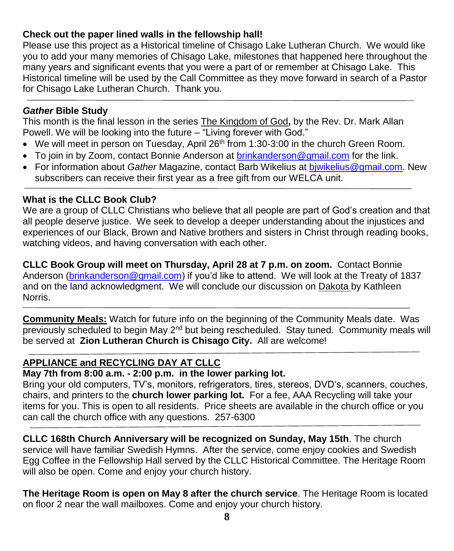### **Check out the paper lined walls in the fellowship hall!**

Please use this project as a Historical timeline of Chisago Lake Lutheran Church. We would like you to add your many memories of Chisago Lake, milestones that happened here throughout the many years and significant events that you were a part of or remember at Chisago Lake. This Historical timeline will be used by the Call Committee as they move forward in search of a Pastor for Chisago Lake Lutheran Church. Thank you.

#### *Gather* **Bible Study**

This month is the final lesson in the series The Kingdom of God**,** by the Rev. Dr. Mark Allan Powell. We will be looking into the future – "Living forever with God."

- $\bullet$  We will meet in person on Tuesday, April 26<sup>th</sup> from 1:30-3:00 in the church Green Room.
- To join in by Zoom, contact Bonnie Anderson at [brinkanderson@gmail.com](mailto:brinkanderson@gmail.com) for the link.
- For information about *Gather* Magazine, contact Barb Wikelius at [bjwikelius@gmail.com.](mailto:bjwikelius@gmail.com) New subscribers can receive their first year as a free gift from our WELCA unit.

#### **What is the CLLC Book Club?**

We are a group of CLLC Christians who believe that all people are part of God's creation and that all people deserve justice. We seek to develop a deeper understanding about the injustices and experiences of our Black, Brown and Native brothers and sisters in Christ through reading books, watching videos, and having conversation with each other.

**CLLC Book Group will meet on Thursday, April 28 at 7 p.m. on zoom.** Contact Bonnie Anderson [\(brinkanderson@gmail.com\)](mailto:brinkanderson@gmail.com) if you'd like to attend. We will look at the Treaty of 1837 and on the land acknowledgment. We will conclude our discussion on Dakota by Kathleen Norris.

**Community Meals:** Watch for future info on the beginning of the Community Meals date. Was previously scheduled to begin May  $2<sup>nd</sup>$  but being rescheduled. Stay tuned. Community meals will be served at **Zion Lutheran Church is Chisago City.** All are welcome!

# **APPLIANCE and RECYCLING DAY AT CLLC**

# **May 7th from 8:00 a.m. - 2:00 p.m. in the lower parking lot.**

Bring your old computers, TV's, monitors, refrigerators, tires, stereos, DVD's, scanners, couches, chairs, and printers to the **church lower parking lot.** For a fee, AAA Recycling will take your items for you. This is open to all residents. Price sheets are available in the church office or you can call the church office with any questions. 257-6300

**CLLC 168th Church Anniversary will be recognized on Sunday, May 15th**. The church service will have familiar Swedish Hymns. After the service, come enjoy cookies and Swedish Egg Coffee in the Fellowship Hall served by the CLLC Historical Committee. The Heritage Room will also be open. Come and enjoy your church history.

**The Heritage Room is open on May 8 after the church service**. The Heritage Room is located on floor 2 near the wall mailboxes. Come and enjoy your church history.